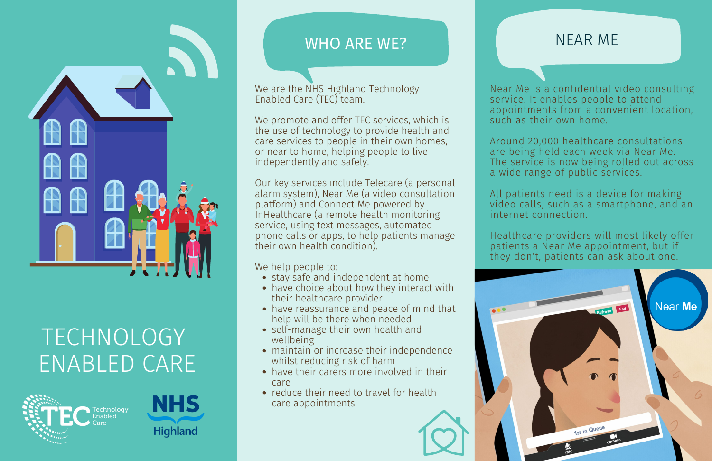- stay safe and independent at home
- have choice about how they interact with their healthcare provider
- have reassurance and peace of mind that help will be there when needed
- self-manage their own health and wellbeing
- maintain or increase their independence whilst reducing risk of harm
- have their carers more involved in their care
- reduce their need to travel for health care appointments



We are the NHS Highland Technology Enabled Care (TEC) team.



# **TECHNOLOGY** ENABLED CARE





# WHO ARE WE?

We promote and offer TEC services, which is the use of technology to provide health and care services to people in their own homes, or near to home, helping people to live independently and safely.

Our key services include Telecare (a personal alarm system), Near Me (a video consultation platform) and Connect Me powered by InHealthcare (a remote health monitoring service, using text messages, automated phone calls or apps, to help patients manage their own health condition).

We help people to:

Near Me is a confidential video consulting service. It enables people to attend appointments from a convenient location, such as their own home.

Around 20,000 healthcare consultations are being held each week via Near Me. The service is now being rolled out across a wide range of public services.

All patients need is a device for making video calls, such as a smartphone, and an internet connection.

Healthcare providers will most likely offer patients a Near Me appointment, but if they don't, patients can ask about one.